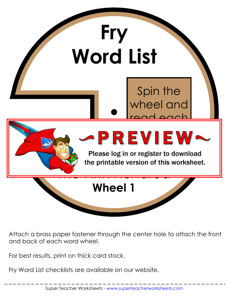

Attach a brass paper fastener through the center hole to attach the front and back of each word wheel.

For best results, print on thick card stock.

Fry Word List checklists are available on our website.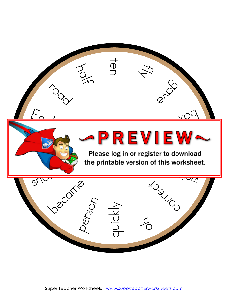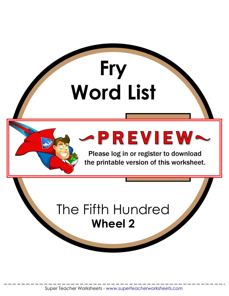

Please log in or register to download the printable version of this worksheet.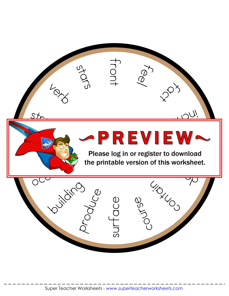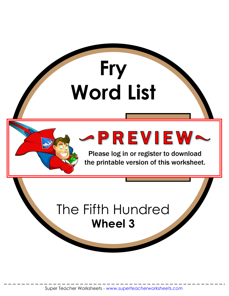

Please log in or register to download the printable version of this worksheet.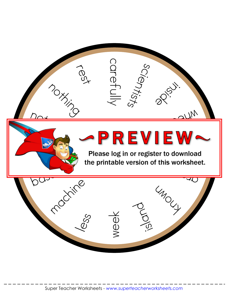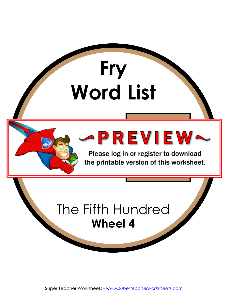![](_page_6_Picture_1.jpeg)

Please log in or register to download the printable version of this worksheet.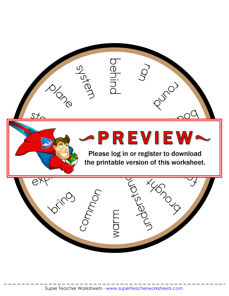![](_page_7_Picture_0.jpeg)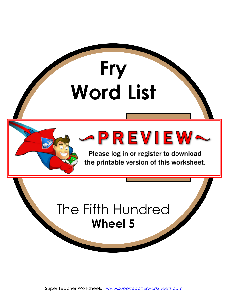![](_page_8_Picture_1.jpeg)

Please log in or register to download the printable version of this worksheet.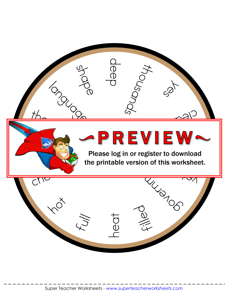![](_page_9_Picture_0.jpeg)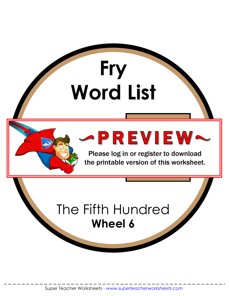![](_page_10_Picture_1.jpeg)

Please log in or register to download the printable version of this worksheet.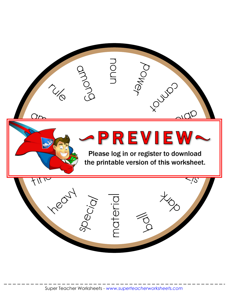![](_page_11_Picture_0.jpeg)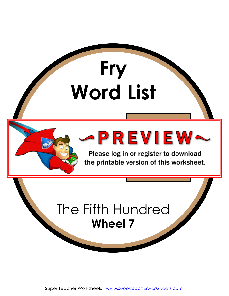![](_page_12_Picture_1.jpeg)

Please log in or register to download the printable version of this worksheet.